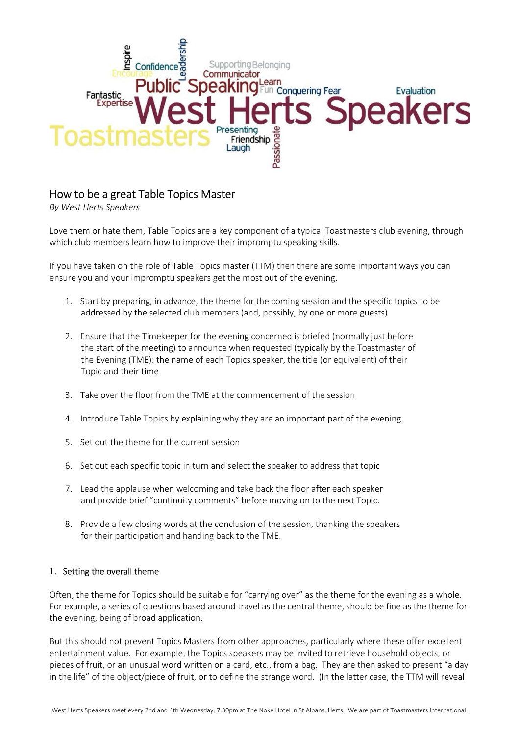

# How to be a great Table Topics Master

By West Herts Speakers

Love them or hate them, Table Topics are a key component of a typical Toastmasters club evening, through which club members learn how to improve their impromptu speaking skills.

If you have taken on the role of Table Topics master (TTM) then there are some important ways you can ensure you and your impromptu speakers get the most out of the evening.

- 1. Start by preparing, in advance, the theme for the coming session and the specific topics to be addressed by the selected club members (and, possibly, by one or more guests)
- 2. Ensure that the Timekeeper for the evening concerned is briefed (normally just before the start of the meeting) to announce when requested (typically by the Toastmaster of the Evening (TME): the name of each Topics speaker, the title (or equivalent) of their Topic and their time
- 3. Take over the floor from the TME at the commencement of the session
- 4. Introduce Table Topics by explaining why they are an important part of the evening
- 5. Set out the theme for the current session
- 6. Set out each specific topic in turn and select the speaker to address that topic
- 7. Lead the applause when welcoming and take back the floor after each speaker and provide brief "continuity comments" before moving on to the next Topic.
- 8. Provide a few closing words at the conclusion of the session, thanking the speakers for their participation and handing back to the TME.

## 1. Setting the overall theme

Often, the theme for Topics should be suitable for "carrying over" as the theme for the evening as a whole. For example, a series of questions based around travel as the central theme, should be fine as the theme for the evening, being of broad application.

But this should not prevent Topics Masters from other approaches, particularly where these offer excellent entertainment value. For example, the Topics speakers may be invited to retrieve household objects, or pieces of fruit, or an unusual word written on a card, etc., from a bag. They are then asked to present "a day in the life" of the object/piece of fruit, or to define the strange word. (In the latter case, the TTM will reveal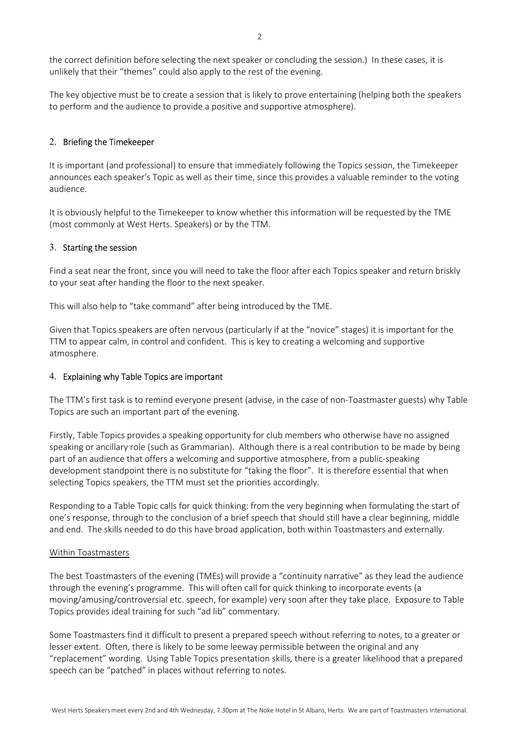the correct definition before selecting the next speaker or concluding the session.) In these cases, it is unlikely that their "themes" could also apply to the rest of the evening.

The key objective must be to create a session that is likely to prove entertaining (helping both the speakers to perform and the audience to provide a positive and supportive atmosphere).

#### 2. Briefing the Timekeeper

It is important (and professional) to ensure that immediately following the Topics session, the Timekeeper announces each speaker's Topic as well as their time, since this provides a valuable reminder to the voting audience.

It is obviously helpful to the Timekeeper to know whether this information will be requested by the TME (most commonly at West Herts. Speakers) or by the TTM.

#### 3. Starting the session

Find a seat near the front, since you will need to take the floor after each Topics speaker and return briskly to your seat after handing the floor to the next speaker.

This will also help to "take command" after being introduced by the TME.

Given that Topics speakers are often nervous (particularly if at the "novice" stages) it is important for the TTM to appear calm, in control and confident. This is key to creating a welcoming and supportive atmosphere.

#### 4. Explaining why Table Topics are important

The TTM's first task is to remind everyone present (advise, in the case of non-Toastmaster guests) why Table Topics are such an important part of the evening.

Firstly, Table Topics provides a speaking opportunity for club members who otherwise have no assigned speaking or ancillary role (such as Grammarian). Although there is a real contribution to be made by being part of an audience that offers a welcoming and supportive atmosphere, from a public-speaking development standpoint there is no substitute for "taking the floor". It is therefore essential that when selecting Topics speakers, the TTM must set the priorities accordingly.

Responding to a Table Topic calls for quick thinking: from the very beginning when formulating the start of one's response, through to the conclusion of a brief speech that should still have a clear beginning, middle and end. The skills needed to do this have broad application, both within Toastmasters and externally.

#### Within Toastmasters

The best Toastmasters of the evening (TMEs) will provide a "continuity narrative" as they lead the audience through the evening's programme. This will often call for quick thinking to incorporate events (a moving/amusing/controversial etc. speech, for example) very soon after they take place. Exposure to Table Topics provides ideal training for such "ad lib" commentary.

Some Toastmasters find it difficult to present a prepared speech without referring to notes, to a greater or lesser extent. Often, there is likely to be some leeway permissible between the original and any "replacement" wording. Using Table Topics presentation skills, there is a greater likelihood that a prepared speech can be "patched" in places without referring to notes.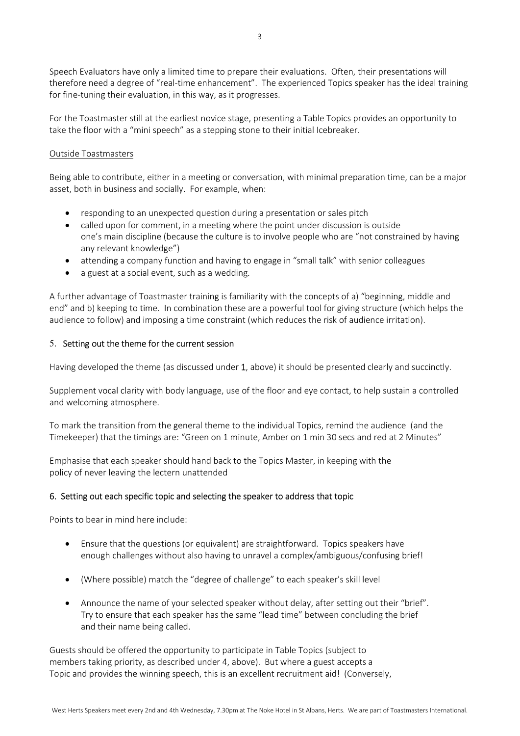Speech Evaluators have only a limited time to prepare their evaluations. Often, their presentations will therefore need a degree of "real-time enhancement". The experienced Topics speaker has the ideal training for fine-tuning their evaluation, in this way, as it progresses.

For the Toastmaster still at the earliest novice stage, presenting a Table Topics provides an opportunity to take the floor with a "mini speech" as a stepping stone to their initial Icebreaker.

## Outside Toastmasters

Being able to contribute, either in a meeting or conversation, with minimal preparation time, can be a major asset, both in business and socially. For example, when:

- responding to an unexpected question during a presentation or sales pitch
- called upon for comment, in a meeting where the point under discussion is outside one's main discipline (because the culture is to involve people who are "not constrained by having any relevant knowledge")
- attending a company function and having to engage in "small talk" with senior colleagues
- a guest at a social event, such as a wedding.

A further advantage of Toastmaster training is familiarity with the concepts of a) "beginning, middle and end" and b) keeping to time. In combination these are a powerful tool for giving structure (which helps the audience to follow) and imposing a time constraint (which reduces the risk of audience irritation).

## 5. Setting out the theme for the current session

Having developed the theme (as discussed under 1, above) it should be presented clearly and succinctly.

Supplement vocal clarity with body language, use of the floor and eye contact, to help sustain a controlled and welcoming atmosphere.

To mark the transition from the general theme to the individual Topics, remind the audience (and the Timekeeper) that the timings are: "Green on 1 minute, Amber on 1 min 30 secs and red at 2 Minutes"

Emphasise that each speaker should hand back to the Topics Master, in keeping with the policy of never leaving the lectern unattended

## 6. Setting out each specific topic and selecting the speaker to address that topic

Points to bear in mind here include:

- Ensure that the questions (or equivalent) are straightforward. Topics speakers have enough challenges without also having to unravel a complex/ambiguous/confusing brief!
- (Where possible) match the "degree of challenge" to each speaker's skill level
- Announce the name of your selected speaker without delay, after setting out their "brief". Try to ensure that each speaker has the same "lead time" between concluding the brief and their name being called.

Guests should be offered the opportunity to participate in Table Topics (subject to members taking priority, as described under 4, above). But where a guest accepts a Topic and provides the winning speech, this is an excellent recruitment aid! (Conversely,